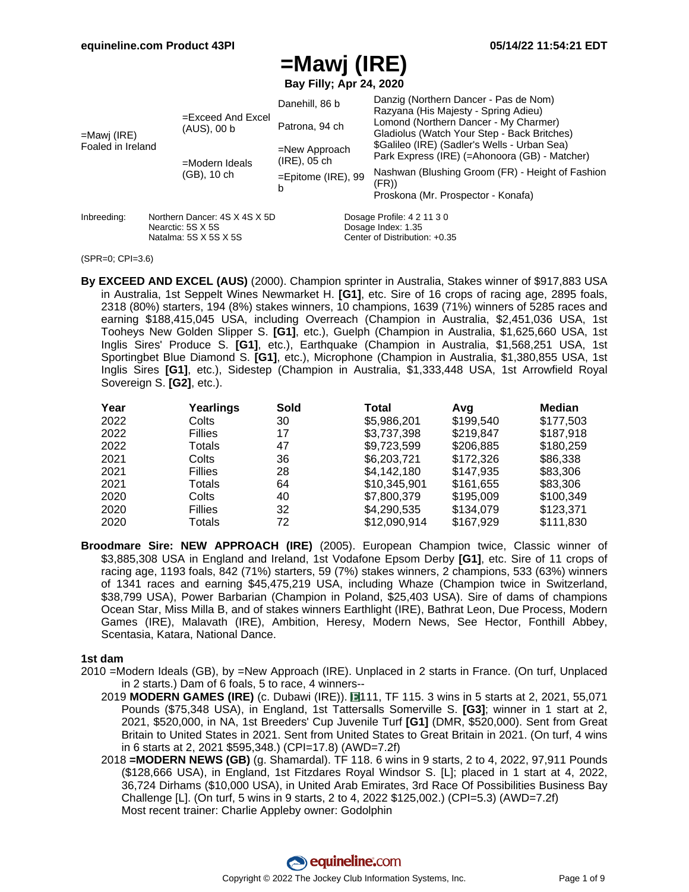**Bay Filly; Apr 24, 2020**

|                   |                                                                                   | Danehill, 86 b                      |                               | Danzig (Northern Dancer - Pas de Nom)<br>Razyana (His Majesty - Spring Adieu)                 |  |  |  |
|-------------------|-----------------------------------------------------------------------------------|-------------------------------------|-------------------------------|-----------------------------------------------------------------------------------------------|--|--|--|
| =Mawj (IRE)       | $=$ Exceed And Excel<br>(AUS), 00 b                                               | Patrona, 94 ch                      |                               | Lomond (Northern Dancer - My Charmer)<br>Gladiolus (Watch Your Step - Back Britches)          |  |  |  |
| Foaled in Ireland | =Modern Ideals                                                                    | $=$ New Approach<br>$(IRE)$ , 05 ch |                               | \$Galileo (IRE) (Sadler's Wells - Urban Sea)<br>Park Express (IRE) (=Ahonoora (GB) - Matcher) |  |  |  |
|                   | (GB), 10 ch                                                                       | $=$ Epitome (IRE), 99<br>b          |                               | Nashwan (Blushing Groom (FR) - Height of Fashion<br>(FR))                                     |  |  |  |
|                   |                                                                                   |                                     |                               | Proskona (Mr. Prospector - Konafa)                                                            |  |  |  |
| Inbreeding:       | Northern Dancer: 4S X 4S X 5D<br>Nearctic: 5S X 5S<br>Natalma: $5S$ X $5S$ X $5S$ |                                     |                               | Dosage Profile: 4 2 11 3 0<br>Dosage Index: 1.35                                              |  |  |  |
|                   |                                                                                   |                                     | Center of Distribution: +0.35 |                                                                                               |  |  |  |

#### (SPR=0; CPI=3.6)

**By EXCEED AND EXCEL (AUS)** (2000). Champion sprinter in Australia, Stakes winner of \$917,883 USA in Australia, 1st Seppelt Wines Newmarket H. **[G1]**, etc. Sire of 16 crops of racing age, 2895 foals, 2318 (80%) starters, 194 (8%) stakes winners, 10 champions, 1639 (71%) winners of 5285 races and earning \$188,415,045 USA, including Overreach (Champion in Australia, \$2,451,036 USA, 1st Tooheys New Golden Slipper S. **[G1]**, etc.), Guelph (Champion in Australia, \$1,625,660 USA, 1st Inglis Sires' Produce S. **[G1]**, etc.), Earthquake (Champion in Australia, \$1,568,251 USA, 1st Sportingbet Blue Diamond S. **[G1]**, etc.), Microphone (Champion in Australia, \$1,380,855 USA, 1st Inglis Sires **[G1]**, etc.), Sidestep (Champion in Australia, \$1,333,448 USA, 1st Arrowfield Royal Sovereign S. **[G2]**, etc.).

| Year | Yearlings      | Sold | Total        | Avq       | Median    |
|------|----------------|------|--------------|-----------|-----------|
| 2022 | Colts          | 30   | \$5,986,201  | \$199,540 | \$177,503 |
| 2022 | <b>Fillies</b> | 17   | \$3,737,398  | \$219,847 | \$187,918 |
| 2022 | Totals         | 47   | \$9,723,599  | \$206,885 | \$180,259 |
| 2021 | Colts          | 36   | \$6,203,721  | \$172.326 | \$86,338  |
| 2021 | <b>Fillies</b> | 28   | \$4.142.180  | \$147.935 | \$83,306  |
| 2021 | Totals         | 64   | \$10,345,901 | \$161,655 | \$83,306  |
| 2020 | Colts          | 40   | \$7,800,379  | \$195,009 | \$100,349 |
| 2020 | <b>Fillies</b> | 32   | \$4,290,535  | \$134,079 | \$123,371 |
| 2020 | Totals         | 72   | \$12,090,914 | \$167.929 | \$111.830 |

**Broodmare Sire: NEW APPROACH (IRE)** (2005). European Champion twice, Classic winner of \$3,885,308 USA in England and Ireland, 1st Vodafone Epsom Derby **[G1]**, etc. Sire of 11 crops of racing age, 1193 foals, 842 (71%) starters, 59 (7%) stakes winners, 2 champions, 533 (63%) winners of 1341 races and earning \$45,475,219 USA, including Whaze (Champion twice in Switzerland, \$38,799 USA), Power Barbarian (Champion in Poland, \$25,403 USA). Sire of dams of champions Ocean Star, Miss Milla B, and of stakes winners Earthlight (IRE), Bathrat Leon, Due Process, Modern Games (IRE), Malavath (IRE), Ambition, Heresy, Modern News, See Hector, Fonthill Abbey, Scentasia, Katara, National Dance.

#### **1st dam**

- 2010 =Modern Ideals (GB), by =New Approach (IRE). Unplaced in 2 starts in France. (On turf, Unplaced in 2 starts.) Dam of 6 foals, 5 to race, 4 winners--
	- 2019 **MODERN GAMES (IRE)** (c. Dubawi (IRE)). 111, TF 115. 3 wins in 5 starts at 2, 2021, 55,071 Pounds (\$75,348 USA), in England, 1st Tattersalls Somerville S. **[G3]**; winner in 1 start at 2, 2021, \$520,000, in NA, 1st Breeders' Cup Juvenile Turf **[G1]** (DMR, \$520,000). Sent from Great Britain to United States in 2021. Sent from United States to Great Britain in 2021. (On turf, 4 wins in 6 starts at 2, 2021 \$595,348.) (CPI=17.8) (AWD=7.2f)
	- 2018 **=MODERN NEWS (GB)** (g. Shamardal). TF 118. 6 wins in 9 starts, 2 to 4, 2022, 97,911 Pounds (\$128,666 USA), in England, 1st Fitzdares Royal Windsor S. [L]; placed in 1 start at 4, 2022, 36,724 Dirhams (\$10,000 USA), in United Arab Emirates, 3rd Race Of Possibilities Business Bay Challenge [L]. (On turf, 5 wins in 9 starts, 2 to 4, 2022 \$125,002.) (CPI=5.3) (AWD=7.2f) Most recent trainer: Charlie Appleby owner: Godolphin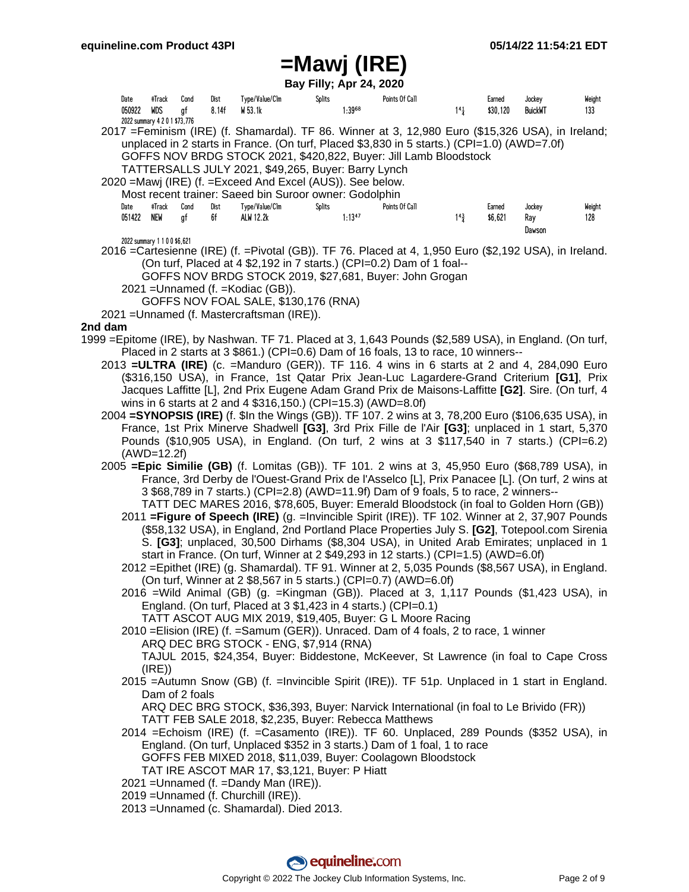**Bay Filly; Apr 24, 2020**

|         |                |                                                |            |               |                                                                                                                                                                                                                                                                                                                                                                                                                                                                                                                                                                                                                                                                                                                                                                                                                                                                                                                                                                                                                                                                                                                                                                                                                                                                                |               | Bay Filly; Apr 24, 2020 |                |                       |                    |                          |               |
|---------|----------------|------------------------------------------------|------------|---------------|--------------------------------------------------------------------------------------------------------------------------------------------------------------------------------------------------------------------------------------------------------------------------------------------------------------------------------------------------------------------------------------------------------------------------------------------------------------------------------------------------------------------------------------------------------------------------------------------------------------------------------------------------------------------------------------------------------------------------------------------------------------------------------------------------------------------------------------------------------------------------------------------------------------------------------------------------------------------------------------------------------------------------------------------------------------------------------------------------------------------------------------------------------------------------------------------------------------------------------------------------------------------------------|---------------|-------------------------|----------------|-----------------------|--------------------|--------------------------|---------------|
|         | Date<br>050922 | #Track<br>WDS<br>2022 summary 4 2 0 1 \$73,776 | Cond<br>gf | Dist<br>8.14f | Type/Value/Clm<br>W 53.1k                                                                                                                                                                                                                                                                                                                                                                                                                                                                                                                                                                                                                                                                                                                                                                                                                                                                                                                                                                                                                                                                                                                                                                                                                                                      | <b>Splits</b> | 1:3968                  | Points Of Call | $1^{4}$ $\frac{1}{4}$ | Earned<br>\$30,120 | Jockey<br><b>BuickWT</b> | Weight<br>133 |
|         |                |                                                |            |               | 2017 = Feminism (IRE) (f. Shamardal). TF 86. Winner at 3, 12,980 Euro (\$15,326 USA), in Ireland;<br>unplaced in 2 starts in France. (On turf, Placed \$3,830 in 5 starts.) (CPI=1.0) (AWD=7.0f)<br>GOFFS NOV BRDG STOCK 2021, \$420,822, Buyer: Jill Lamb Bloodstock<br>TATTERSALLS JULY 2021, \$49,265, Buyer: Barry Lynch<br>2020 = Mawj (IRE) (f. = Exceed And Excel (AUS)). See below.                                                                                                                                                                                                                                                                                                                                                                                                                                                                                                                                                                                                                                                                                                                                                                                                                                                                                    |               |                         |                |                       |                    |                          |               |
|         | Date<br>051422 | #Track<br>NEW                                  | Cond<br>gf | Dist<br>6f    | Most recent trainer: Saeed bin Suroor owner: Godolphin<br>Type/Value/Clm<br>ALW 12.2k                                                                                                                                                                                                                                                                                                                                                                                                                                                                                                                                                                                                                                                                                                                                                                                                                                                                                                                                                                                                                                                                                                                                                                                          | Splits        | $1:13^{47}$             | Points Of Call | $1^{4}\frac{3}{4}$    | Earned<br>\$6,621  | Jockey<br>Ray<br>Dawson  | Weight<br>128 |
|         |                | 2022 summary 1 1 0 0 \$6,621                   |            |               | 2016 = Cartesienne (IRE) (f. = Pivotal (GB)). TF 76. Placed at 4, 1,950 Euro (\$2,192 USA), in Ireland.<br>(On turf, Placed at 4 \$2,192 in 7 starts.) (CPI=0.2) Dam of 1 foal--<br>GOFFS NOV BRDG STOCK 2019, \$27,681, Buyer: John Grogan<br>2021 = Unnamed (f. = Kodiac (GB)).<br>GOFFS NOV FOAL SALE, \$130,176 (RNA)<br>2021 = Unnamed (f. Mastercraftsman (IRE)).                                                                                                                                                                                                                                                                                                                                                                                                                                                                                                                                                                                                                                                                                                                                                                                                                                                                                                        |               |                         |                |                       |                    |                          |               |
| 2nd dam |                |                                                |            |               |                                                                                                                                                                                                                                                                                                                                                                                                                                                                                                                                                                                                                                                                                                                                                                                                                                                                                                                                                                                                                                                                                                                                                                                                                                                                                |               |                         |                |                       |                    |                          |               |
|         |                |                                                |            |               | 1999 = Epitome (IRE), by Nashwan. TF 71. Placed at 3, 1,643 Pounds (\$2,589 USA), in England. (On turf,<br>Placed in 2 starts at 3 \$861.) (CPI=0.6) Dam of 16 foals, 13 to race, 10 winners--<br>2013 <b>=ULTRA (IRE)</b> (c. =Manduro (GER)). TF 116. 4 wins in 6 starts at 2 and 4, 284,090 Euro<br>(\$316,150 USA), in France, 1st Qatar Prix Jean-Luc Lagardere-Grand Criterium [G1], Prix<br>Jacques Laffitte [L], 2nd Prix Eugene Adam Grand Prix de Maisons-Laffitte [G2]. Sire. (On turf, 4<br>wins in 6 starts at 2 and 4 \$316,150.) (CPI=15.3) (AWD=8.0f)<br>2004 = SYNOPSIS (IRE) (f. \$In the Wings (GB)). TF 107. 2 wins at 3, 78,200 Euro (\$106,635 USA), in<br>France, 1st Prix Minerve Shadwell [G3], 3rd Prix Fille de l'Air [G3]; unplaced in 1 start, 5,370                                                                                                                                                                                                                                                                                                                                                                                                                                                                                              |               |                         |                |                       |                    |                          |               |
|         |                | $(AWD=12.2f)$                                  |            |               | Pounds (\$10,905 USA), in England. (On turf, 2 wins at 3 \$117,540 in 7 starts.) (CPI=6.2)                                                                                                                                                                                                                                                                                                                                                                                                                                                                                                                                                                                                                                                                                                                                                                                                                                                                                                                                                                                                                                                                                                                                                                                     |               |                         |                |                       |                    |                          |               |
|         |                |                                                |            |               | 2005 <b>=Epic Similie (GB)</b> (f. Lomitas (GB)). TF 101. 2 wins at 3, 45,950 Euro (\$68,789 USA), in<br>France, 3rd Derby de l'Ouest-Grand Prix de l'Asselco [L], Prix Panacee [L]. (On turf, 2 wins at<br>3 \$68,789 in 7 starts.) (CPI=2.8) (AWD=11.9f) Dam of 9 foals, 5 to race, 2 winners--<br>TATT DEC MARES 2016, \$78,605, Buyer: Emerald Bloodstock (in foal to Golden Horn (GB))<br>2011 = Figure of Speech (IRE) (g. = Invincible Spirit (IRE)). TF 102. Winner at 2, 37,907 Pounds<br>(\$58,132 USA), in England, 2nd Portland Place Properties July S. [G2], Totepool.com Sirenia<br>S. [G3]; unplaced, 30,500 Dirhams (\$8,304 USA), in United Arab Emirates; unplaced in 1<br>start in France. (On turf, Winner at 2 \$49,293 in 12 starts.) (CPI=1.5) (AWD=6.0f)<br>2012 = Epithet (IRE) (g. Shamardal). TF 91. Winner at 2, 5,035 Pounds (\$8,567 USA), in England.<br>(On turf, Winner at 2 \$8,567 in 5 starts.) (CPI=0.7) (AWD=6.0f)<br>2016 = Wild Animal (GB) (g. = Kingman (GB)). Placed at 3, 1,117 Pounds (\$1,423 USA), in<br>England. (On turf, Placed at 3 \$1,423 in 4 starts.) (CPI=0.1)<br>TATT ASCOT AUG MIX 2019, \$19,405, Buyer: G L Moore Racing<br>2010 = Elision (IRE) (f. = Samum (GER)). Unraced. Dam of 4 foals, 2 to race, 1 winner |               |                         |                |                       |                    |                          |               |
|         |                |                                                |            |               | ARQ DEC BRG STOCK - ENG, \$7,914 (RNA)                                                                                                                                                                                                                                                                                                                                                                                                                                                                                                                                                                                                                                                                                                                                                                                                                                                                                                                                                                                                                                                                                                                                                                                                                                         |               |                         |                |                       |                    |                          |               |
|         |                | (IRE)                                          |            |               | TAJUL 2015, \$24,354, Buyer: Biddestone, McKeever, St Lawrence (in foal to Cape Cross                                                                                                                                                                                                                                                                                                                                                                                                                                                                                                                                                                                                                                                                                                                                                                                                                                                                                                                                                                                                                                                                                                                                                                                          |               |                         |                |                       |                    |                          |               |
|         |                | Dam of 2 foals                                 |            |               | 2015 = Autumn Snow (GB) (f. = Invincible Spirit (IRE)). TF 51p. Unplaced in 1 start in England.                                                                                                                                                                                                                                                                                                                                                                                                                                                                                                                                                                                                                                                                                                                                                                                                                                                                                                                                                                                                                                                                                                                                                                                |               |                         |                |                       |                    |                          |               |
|         |                |                                                |            |               | ARQ DEC BRG STOCK, \$36,393, Buyer: Narvick International (in foal to Le Brivido (FR))<br>TATT FEB SALE 2018, \$2,235, Buyer: Rebecca Matthews<br>2014 = Echoism (IRE) (f. = Casamento (IRE)). TF 60. Unplaced, 289 Pounds (\$352 USA), in<br>England. (On turf, Unplaced \$352 in 3 starts.) Dam of 1 foal, 1 to race<br>GOFFS FEB MIXED 2018, \$11,039, Buyer: Coolagown Bloodstock<br>TAT IRE ASCOT MAR 17, \$3,121, Buyer: P Hiatt<br>2021 = Unnamed (f. = Dandy Man (IRE)).                                                                                                                                                                                                                                                                                                                                                                                                                                                                                                                                                                                                                                                                                                                                                                                               |               |                         |                |                       |                    |                          |               |
|         |                |                                                |            |               | 2019 = Unnamed (f. Churchill (IRE)).<br>2013 = Unnamed (c. Shamardal). Died 2013.                                                                                                                                                                                                                                                                                                                                                                                                                                                                                                                                                                                                                                                                                                                                                                                                                                                                                                                                                                                                                                                                                                                                                                                              |               |                         |                |                       |                    |                          |               |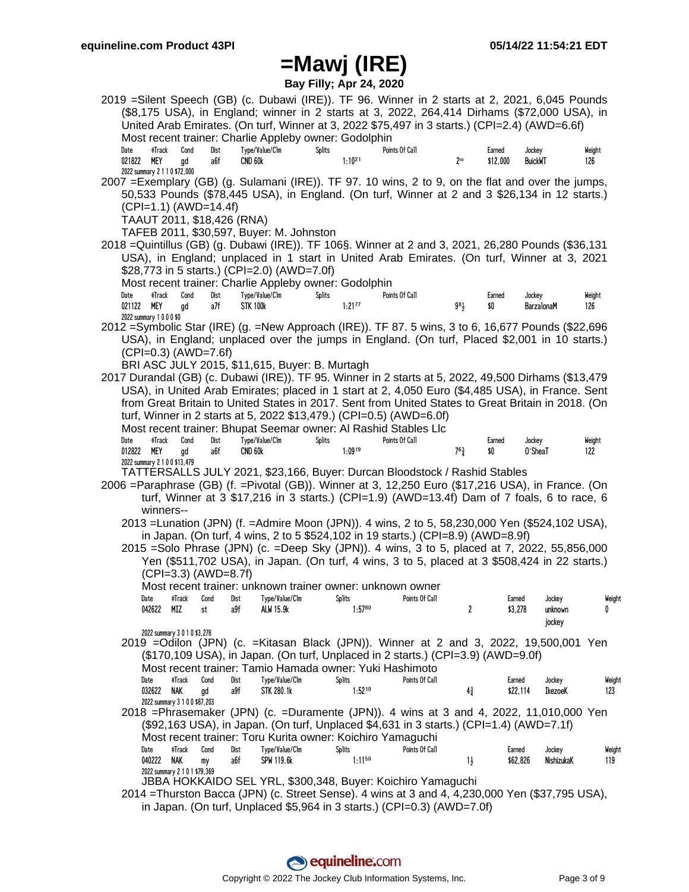**Bay Filly; Apr 24, 2020**

|      |                          |                               |                            |                     | 2019 = Silent Speech (GB) (c. Dubawi (IRE)). TF 96. Winner in 2 starts at 2, 2021, 6,045 Pounds          |        |                       |                |                |                 |                    |                          |            |               |  |
|------|--------------------------|-------------------------------|----------------------------|---------------------|----------------------------------------------------------------------------------------------------------|--------|-----------------------|----------------|----------------|-----------------|--------------------|--------------------------|------------|---------------|--|
|      |                          |                               |                            |                     | (\$8,175 USA), in England; winner in 2 starts at 3, 2022, 264,414 Dirhams (\$72,000 USA), in             |        |                       |                |                |                 |                    |                          |            |               |  |
|      |                          |                               |                            |                     | United Arab Emirates. (On turf, Winner at 3, 2022 \$75,497 in 3 starts.) (CPI=2.4) (AWD=6.6f)            |        |                       |                |                |                 |                    |                          |            |               |  |
|      |                          |                               |                            |                     | Most recent trainer: Charlie Appleby owner: Godolphin                                                    |        |                       |                |                |                 |                    |                          |            |               |  |
| Date | #Track<br>021822<br>MEY  | Cond<br>qd                    | Dist<br>a6f                | CND 60 <sub>k</sub> | Type/Value/Clm                                                                                           | Splits | $1:10^{21}$           | Points Of Call |                | $2^{no}$        | Earned<br>\$12,000 | Jockey<br><b>BuickWT</b> |            | Weight<br>126 |  |
|      |                          | 2022 summary 2 1 1 0 \$72,000 |                            |                     |                                                                                                          |        |                       |                |                |                 |                    |                          |            |               |  |
|      |                          |                               |                            |                     | 2007 = Exemplary (GB) (g. Sulamani (IRE)). TF 97. 10 wins, 2 to 9, on the flat and over the jumps,       |        |                       |                |                |                 |                    |                          |            |               |  |
|      |                          |                               |                            |                     | 50,533 Pounds (\$78,445 USA), in England. (On turf, Winner at 2 and 3 \$26,134 in 12 starts.)            |        |                       |                |                |                 |                    |                          |            |               |  |
|      |                          |                               | $(CPI=1.1) (AWD=14.4f)$    |                     |                                                                                                          |        |                       |                |                |                 |                    |                          |            |               |  |
|      |                          |                               | TAAUT 2011, \$18,426 (RNA) |                     |                                                                                                          |        |                       |                |                |                 |                    |                          |            |               |  |
|      |                          |                               |                            |                     | TAFEB 2011, \$30,597, Buyer: M. Johnston                                                                 |        |                       |                |                |                 |                    |                          |            |               |  |
|      |                          |                               |                            |                     | 2018 =Quintillus (GB) (g. Dubawi (IRE)). TF 106§. Winner at 2 and 3, 2021, 26,280 Pounds (\$36,131       |        |                       |                |                |                 |                    |                          |            |               |  |
|      |                          |                               |                            |                     | USA), in England; unplaced in 1 start in United Arab Emirates. (On turf, Winner at 3, 2021               |        |                       |                |                |                 |                    |                          |            |               |  |
|      |                          |                               |                            |                     | \$28,773 in 5 starts.) (CPI=2.0) (AWD=7.0f)                                                              |        |                       |                |                |                 |                    |                          |            |               |  |
|      |                          |                               |                            |                     | Most recent trainer: Charlie Appleby owner: Godolphin                                                    |        |                       |                |                |                 |                    |                          |            |               |  |
| Date | #Track                   | Cond                          | Dist                       |                     | Type/Value/Clm                                                                                           | Splits |                       | Points Of Call |                |                 | Earned             | Jockey                   |            | Weight        |  |
|      | 021122 MEY               | gd                            | a7f                        | <b>STK 100k</b>     |                                                                                                          |        | $1:21^{77}$           |                |                | 9 <sup>81</sup> | \$0                | BarzalonaM               |            | 126           |  |
|      | 2022 summary 1 0 0 0 \$0 |                               |                            |                     |                                                                                                          |        |                       |                |                |                 |                    |                          |            |               |  |
|      |                          |                               |                            |                     | 2012 = Symbolic Star (IRE) (g. = New Approach (IRE)). TF 87. 5 wins, 3 to 6, 16,677 Pounds (\$22,696     |        |                       |                |                |                 |                    |                          |            |               |  |
|      |                          |                               |                            |                     | USA), in England; unplaced over the jumps in England. (On turf, Placed \$2,001 in 10 starts.)            |        |                       |                |                |                 |                    |                          |            |               |  |
|      |                          |                               | (CPI=0.3) (AWD=7.6f)       |                     |                                                                                                          |        |                       |                |                |                 |                    |                          |            |               |  |
|      |                          |                               |                            |                     | BRI ASC JULY 2015, \$11,615, Buyer: B. Murtagh                                                           |        |                       |                |                |                 |                    |                          |            |               |  |
|      |                          |                               |                            |                     | 2017 Durandal (GB) (c. Dubawi (IRE)). TF 95. Winner in 2 starts at 5, 2022, 49,500 Dirhams (\$13,479     |        |                       |                |                |                 |                    |                          |            |               |  |
|      |                          |                               |                            |                     | USA), in United Arab Emirates; placed in 1 start at 2, 4,050 Euro (\$4,485 USA), in France. Sent         |        |                       |                |                |                 |                    |                          |            |               |  |
|      |                          |                               |                            |                     | from Great Britain to United States in 2017. Sent from United States to Great Britain in 2018. (On       |        |                       |                |                |                 |                    |                          |            |               |  |
|      |                          |                               |                            |                     | turf, Winner in 2 starts at 5, 2022 \$13,479.) (CPI=0.5) (AWD=6.0f)                                      |        |                       |                |                |                 |                    |                          |            |               |  |
|      |                          |                               |                            |                     | Most recent trainer: Bhupat Seemar owner: Al Rashid Stables Llc                                          |        |                       |                |                |                 |                    |                          |            |               |  |
| Date | #Track                   | Cond                          | Dist                       |                     | Type/Value/Clm                                                                                           | Splits |                       | Points Of Call |                |                 | Earned             | Jockey                   |            | Weight        |  |
|      | 012822<br>MEY            | qd                            | a6f                        | CND 60 <sub>k</sub> |                                                                                                          |        | $1:09^{19}$           |                |                | $7^{63}_{4}$    | \$0                | 0'SheaT                  |            | 122           |  |
|      |                          | 2022 summary 2 1 0 0 \$13,479 |                            |                     | TATTERSALLS JULY 2021, \$23,166, Buyer: Durcan Bloodstock / Rashid Stables                               |        |                       |                |                |                 |                    |                          |            |               |  |
|      |                          |                               |                            |                     | 2006 =Paraphrase (GB) (f. =Pivotal (GB)). Winner at 3, 12,250 Euro (\$17,216 USA), in France. (On        |        |                       |                |                |                 |                    |                          |            |               |  |
|      |                          |                               |                            |                     | turf, Winner at 3 \$17,216 in 3 starts.) (CPI=1.9) (AWD=13.4f) Dam of 7 foals, 6 to race, 6              |        |                       |                |                |                 |                    |                          |            |               |  |
|      |                          | winners--                     |                            |                     |                                                                                                          |        |                       |                |                |                 |                    |                          |            |               |  |
|      |                          |                               |                            |                     | 2013 = Lunation (JPN) (f. = Admire Moon (JPN)). 4 wins, 2 to 5, 58, 230, 000 Yen (\$524, 102 USA),       |        |                       |                |                |                 |                    |                          |            |               |  |
|      |                          |                               |                            |                     | in Japan. (On turf, 4 wins, 2 to 5 \$524,102 in 19 starts.) (CPI=8.9) (AWD=8.9f)                         |        |                       |                |                |                 |                    |                          |            |               |  |
|      |                          |                               |                            |                     | 2015 = Solo Phrase (JPN) (c. = Deep Sky (JPN)). 4 wins, 3 to 5, placed at 7, 2022, 55,856,000            |        |                       |                |                |                 |                    |                          |            |               |  |
|      |                          |                               |                            |                     | Yen (\$511,702 USA), in Japan. (On turf, 4 wins, 3 to 5, placed at 3 \$508,424 in 22 starts.)            |        |                       |                |                |                 |                    |                          |            |               |  |
|      |                          |                               | $(CPI=3.3)$ $(AWD=8.7f)$   |                     |                                                                                                          |        |                       |                |                |                 |                    |                          |            |               |  |
|      |                          |                               |                            |                     |                                                                                                          |        |                       |                |                |                 |                    |                          |            |               |  |
|      |                          |                               |                            |                     | Most recent trainer: unknown trainer owner: unknown owner<br>Date #Track Cond Dist Type/Value/Clm Splits |        |                       |                | Points Of Call |                 | Earned             |                          | Jockey     | Weight        |  |
|      |                          | 042622 MIZ                    | st                         | a9f                 | ALW 15.9k                                                                                                |        | $1:57^{80}$           |                |                | 2               |                    | \$3,278                  | unknown    | 0             |  |
|      |                          |                               |                            |                     |                                                                                                          |        |                       |                |                |                 |                    |                          | jockey     |               |  |
|      |                          | 2022 summary 3 0 1 0 \$3,278  |                            |                     |                                                                                                          |        |                       |                |                |                 |                    |                          |            |               |  |
|      |                          |                               |                            |                     | 2019 = Odilon (JPN) (c. = Kitasan Black (JPN)). Winner at 2 and 3, 2022, 19,500,001 Yen                  |        |                       |                |                |                 |                    |                          |            |               |  |
|      |                          |                               |                            |                     | (\$170,109 USA), in Japan. (On turf, Unplaced in 2 starts.) (CPI=3.9) (AWD=9.0f)                         |        |                       |                |                |                 |                    |                          |            |               |  |
|      |                          |                               |                            |                     | Most recent trainer: Tamio Hamada owner: Yuki Hashimoto                                                  |        |                       |                |                |                 |                    |                          |            |               |  |
|      | Date                     | #Track                        | Cond                       | Dist                | Type/Value/Clm                                                                                           |        | Splits                |                | Points Of Call |                 |                    | Earned                   | Jockey     | Weight        |  |
|      | 032622                   | NAK                           | gd                         | a9f                 | <b>STK 280.1k</b>                                                                                        |        | $1:52^{10}$           |                |                | $4\frac{3}{4}$  |                    | \$22,114                 | IkezoeK    | 123           |  |
|      |                          | 2022 summary 3 1 0 0 \$87,203 |                            |                     |                                                                                                          |        |                       |                |                |                 |                    |                          |            |               |  |
|      |                          |                               |                            |                     | 2018 = Phrasemaker (JPN) (c. = Duramente (JPN)). 4 wins at 3 and 4, 2022, 11,010,000 Yen                 |        |                       |                |                |                 |                    |                          |            |               |  |
|      |                          |                               |                            |                     | (\$92,163 USA), in Japan. (On turf, Unplaced \$4,631 in 3 starts.) (CPI=1.4) (AWD=7.1f)                  |        |                       |                |                |                 |                    |                          |            |               |  |
|      |                          |                               |                            |                     | Most recent trainer: Toru Kurita owner: Koichiro Yamaguchi                                               |        |                       |                |                |                 |                    |                          |            |               |  |
|      | Date                     | #Track<br>040222 NAK          | Cond                       | Dist                | Type/Value/Clm                                                                                           |        | Splits<br>$1:11^{50}$ |                | Points Of Call |                 |                    | Earned                   | Jockey     | Weight        |  |
|      |                          | 2022 summary 2 1 0 1 \$79,369 | my                         | a6f                 | SPW 119.6k                                                                                               |        |                       |                |                | $1\frac{1}{2}$  |                    | \$62,826                 | NishizukaK | 119           |  |
|      |                          |                               |                            |                     | JBBA HOKKAIDO SEL YRL, \$300,348, Buyer: Koichiro Yamaguchi                                              |        |                       |                |                |                 |                    |                          |            |               |  |
|      |                          |                               |                            |                     | 2014 = Thurston Bacca (JPN) (c. Street Sense). 4 wins at 3 and 4, 4, 230, 000 Yen (\$37, 795 USA),       |        |                       |                |                |                 |                    |                          |            |               |  |
|      |                          |                               |                            |                     |                                                                                                          |        |                       |                |                |                 |                    |                          |            |               |  |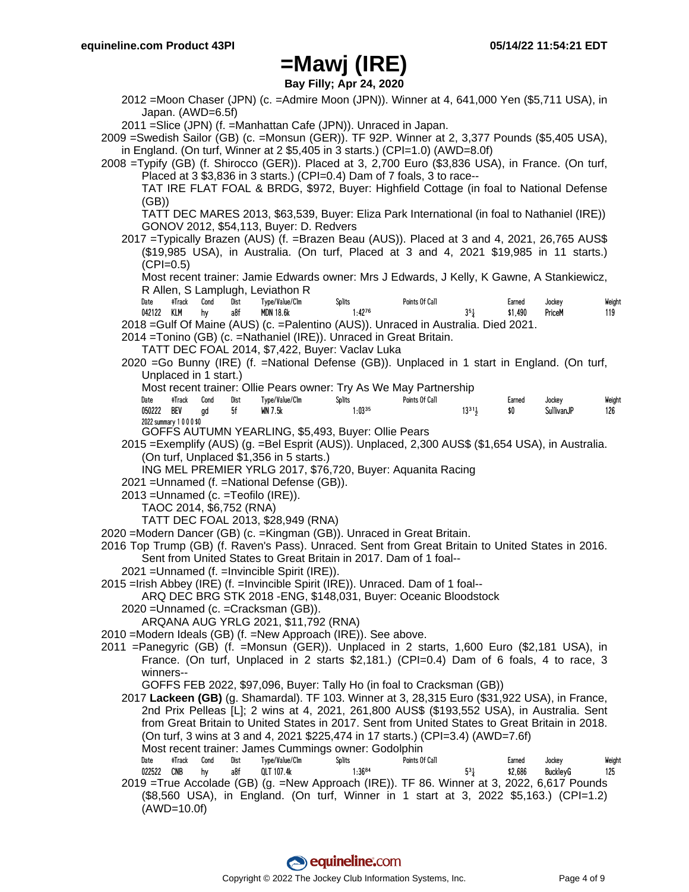**Bay Filly; Apr 24, 2020**

2012 =Moon Chaser (JPN) (c. =Admire Moon (JPN)). Winner at 4, 641,000 Yen (\$5,711 USA), in Japan. (AWD=6.5f)

2011 =Slice (JPN) (f. =Manhattan Cafe (JPN)). Unraced in Japan.

2009 =Swedish Sailor (GB) (c. =Monsun (GER)). TF 92P. Winner at 2, 3,377 Pounds (\$5,405 USA), in England. (On turf, Winner at 2  $$5,405$  in 3 starts.) (CPI=1.0) (AWD=8.0f)

2008 =Typify (GB) (f. Shirocco (GER)). Placed at 3, 2,700 Euro (\$3,836 USA), in France. (On turf, Placed at 3 \$3,836 in 3 starts.) (CPI=0.4) Dam of 7 foals, 3 to race--

TAT IRE FLAT FOAL & BRDG, \$972, Buyer: Highfield Cottage (in foal to National Defense (GB))

TATT DEC MARES 2013, \$63,539, Buyer: Eliza Park International (in foal to Nathaniel (IRE)) GONOV 2012, \$54,113, Buyer: D. Redvers

2017 =Typically Brazen (AUS) (f. =Brazen Beau (AUS)). Placed at 3 and 4, 2021, 26,765 AUS\$ (\$19,985 USA), in Australia. (On turf, Placed at 3 and 4, 2021 \$19,985 in 11 starts.)  $(CPI=0.5)$ 

Most recent trainer: Jamie Edwards owner: Mrs J Edwards, J Kelly, K Gawne, A Stankiewicz, R Allen, S Lamplugh, Leviathon R

| Date       | #Track | Cond | Dist | Type/Value/Clm | <b>Splits</b> | Points Of Call                                                                      | Earned  | Jockey | Weight |
|------------|--------|------|------|----------------|---------------|-------------------------------------------------------------------------------------|---------|--------|--------|
| 042122 KLM |        | hv   | a8f  | MDN 18.6k      | $1:42^{76}$   |                                                                                     | \$1.490 | PriceM | 119    |
|            |        |      |      |                |               | 2018 = Gulf Of Maine (AUS) (c. = Palentino (AUS)). Unraced in Australia. Died 2021. |         |        |        |

2014 =Tonino (GB) (c. =Nathaniel (IRE)). Unraced in Great Britain.

TATT DEC FOAL 2014, \$7,422, Buyer: Vaclav Luka

2020 =Go Bunny (IRE) (f. =National Defense (GB)). Unplaced in 1 start in England. (On turf, Unplaced in 1 start.)

Most recent trainer: Ollie Pears owner: Try As We May Partnership

| Date       | #Track               | Cond | Dist | Type/Value/Clm | Splits      | Points Of Call |       | Earned | Jockey     | Weight |
|------------|----------------------|------|------|----------------|-------------|----------------|-------|--------|------------|--------|
| 050222 BEV |                      | ad   | 5f   | <b>WN 7.5k</b> | $1:03^{35}$ |                | 13311 |        | SullivanJP | 126    |
|            | 2022 summary 1000\$0 |      |      |                |             |                |       |        |            |        |

GOFFS AUTUMN YEARLING, \$5,493, Buyer: Ollie Pears

2015 =Exemplify (AUS) (g. =Bel Esprit (AUS)). Unplaced, 2,300 AUS\$ (\$1,654 USA), in Australia. (On turf, Unplaced \$1,356 in 5 starts.)

ING MEL PREMIER YRLG 2017, \$76,720, Buyer: Aquanita Racing

2021 =Unnamed (f. =National Defense (GB)).

2013 =Unnamed (c. =Teofilo (IRE)).

TAOC 2014, \$6,752 (RNA)

TATT DEC FOAL 2013, \$28,949 (RNA)

2020 =Modern Dancer (GB) (c. =Kingman (GB)). Unraced in Great Britain.

- 2016 Top Trump (GB) (f. Raven's Pass). Unraced. Sent from Great Britain to United States in 2016. Sent from United States to Great Britain in 2017. Dam of 1 foal--
	- 2021 =Unnamed (f. =Invincible Spirit (IRE)).
- 2015 =Irish Abbey (IRE) (f. =Invincible Spirit (IRE)). Unraced. Dam of 1 foal--

ARQ DEC BRG STK 2018 -ENG, \$148,031, Buyer: Oceanic Bloodstock

2020 =Unnamed (c. =Cracksman (GB)).

ARQANA AUG YRLG 2021, \$11,792 (RNA)

- 2010 =Modern Ideals (GB) (f. =New Approach (IRE)). See above.
- 2011 =Panegyric (GB) (f. =Monsun (GER)). Unplaced in 2 starts, 1,600 Euro (\$2,181 USA), in France. (On turf, Unplaced in 2 starts \$2,181.) (CPI=0.4) Dam of 6 foals, 4 to race, 3 winners--

GOFFS FEB 2022, \$97,096, Buyer: Tally Ho (in foal to Cracksman (GB))

2017 **Lackeen (GB)** (g. Shamardal). TF 103. Winner at 3, 28,315 Euro (\$31,922 USA), in France, 2nd Prix Pelleas [L]; 2 wins at 4, 2021, 261,800 AUS\$ (\$193,552 USA), in Australia. Sent from Great Britain to United States in 2017. Sent from United States to Great Britain in 2018. (On turf, 3 wins at 3 and 4, 2021 \$225,474 in 17 starts.) (CPI=3.4) (AWD=7.6f) Most recent trainer: James Cummings owner: Godolphin

Date #Track Cond Dist Type/Value/Clm Splits Points Of Call Earned Jockey Weight 022522 CNB hy a8f QLT 107.4k 1:36<sup>84</sup> 53<sup>3</sup> 53<sup>3</sup> 52,686 BuckleyG 125 2019 =True Accolade (GB) (g. =New Approach (IRE)). TF 86. Winner at 3, 2022, 6,617 Pounds (\$8,560 USA), in England. (On turf, Winner in 1 start at 3, 2022 \$5,163.) (CPI=1.2) (AWD=10.0f)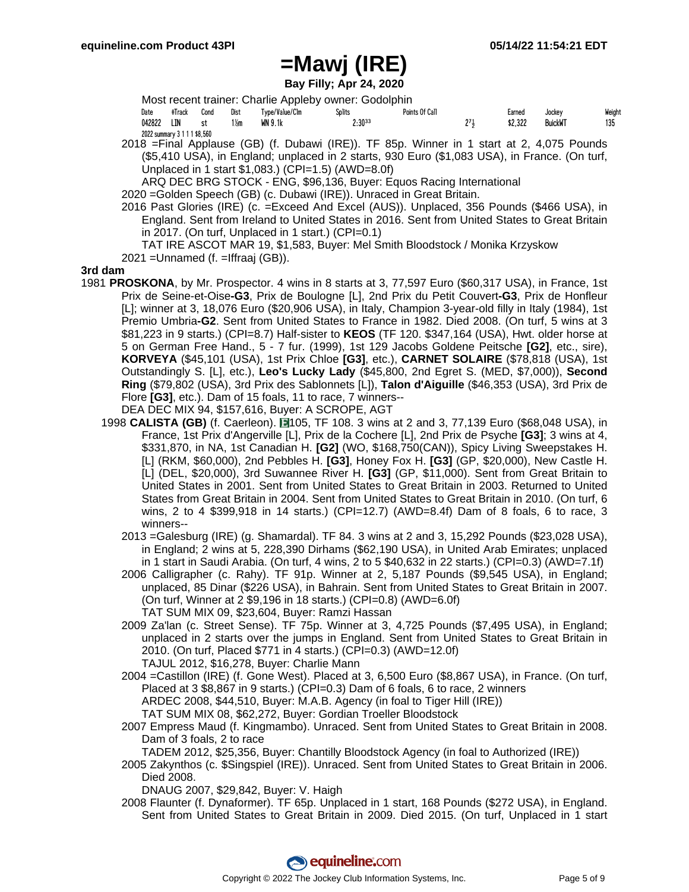**Bay Filly; Apr 24, 2020**

|        |                              |      |      |                | Most recent trainer: Charlie Appleby owner: Godolphin |                |     |         |                |        |
|--------|------------------------------|------|------|----------------|-------------------------------------------------------|----------------|-----|---------|----------------|--------|
| Date   | #Track                       | Cond | Dist | Type/Value/Clm | <b>Splits</b>                                         | Points Of Call |     | Earned  | Jockey         | Weight |
| 042822 | LIN                          | .st  | 1½m  | WN 9.1k        | $2:30^{33}$                                           |                | 271 | \$2.322 | <b>BuickWT</b> | 135    |
|        | 2022 summary 3 1 1 1 \$8,560 |      |      |                |                                                       |                |     |         |                |        |

2018 =Final Applause (GB) (f. Dubawi (IRE)). TF 85p. Winner in 1 start at 2, 4,075 Pounds (\$5,410 USA), in England; unplaced in 2 starts, 930 Euro (\$1,083 USA), in France. (On turf, Unplaced in 1 start \$1,083.) (CPI=1.5) (AWD=8.0f)

ARQ DEC BRG STOCK - ENG, \$96,136, Buyer: Equos Racing International

2020 =Golden Speech (GB) (c. Dubawi (IRE)). Unraced in Great Britain.

2016 Past Glories (IRE) (c. =Exceed And Excel (AUS)). Unplaced, 356 Pounds (\$466 USA), in England. Sent from Ireland to United States in 2016. Sent from United States to Great Britain in 2017. (On turf, Unplaced in 1 start.) (CPI=0.1)

TAT IRE ASCOT MAR 19, \$1,583, Buyer: Mel Smith Bloodstock / Monika Krzyskow 2021 =Unnamed (f. =Iffraaj (GB)).

**3rd dam**

1981 **PROSKONA**, by Mr. Prospector. 4 wins in 8 starts at 3, 77,597 Euro (\$60,317 USA), in France, 1st Prix de Seine-et-Oise**-G3**, Prix de Boulogne [L], 2nd Prix du Petit Couvert**-G3**, Prix de Honfleur [L]; winner at 3, 18,076 Euro (\$20,906 USA), in Italy, Champion 3-year-old filly in Italy (1984), 1st Premio Umbria**-G2**. Sent from United States to France in 1982. Died 2008. (On turf, 5 wins at 3 \$81,223 in 9 starts.) (CPI=8.7) Half-sister to **KEOS** (TF 120. \$347,164 (USA), Hwt. older horse at 5 on German Free Hand., 5 - 7 fur. (1999), 1st 129 Jacobs Goldene Peitsche **[G2]**, etc., sire), **KORVEYA** (\$45,101 (USA), 1st Prix Chloe **[G3]**, etc.), **CARNET SOLAIRE** (\$78,818 (USA), 1st Outstandingly S. [L], etc.), **Leo's Lucky Lady** (\$45,800, 2nd Egret S. (MED, \$7,000)), **Second Ring** (\$79,802 (USA), 3rd Prix des Sablonnets [L]), **Talon d'Aiguille** (\$46,353 (USA), 3rd Prix de Flore **[G3]**, etc.). Dam of 15 foals, 11 to race, 7 winners--

DEA DEC MIX 94, \$157,616, Buyer: A SCROPE, AGT

- 1998 CALISTA (GB) (f. Caerleon). **19105**, TF 108. 3 wins at 2 and 3, 77,139 Euro (\$68,048 USA), in France, 1st Prix d'Angerville [L], Prix de la Cochere [L], 2nd Prix de Psyche **[G3]**; 3 wins at 4, \$331,870, in NA, 1st Canadian H. **[G2]** (WO, \$168,750(CAN)), Spicy Living Sweepstakes H. [L] (RKM, \$60,000), 2nd Pebbles H. **[G3]**, Honey Fox H. **[G3]** (GP, \$20,000), New Castle H. [L] (DEL, \$20,000), 3rd Suwannee River H. **[G3]** (GP, \$11,000). Sent from Great Britain to United States in 2001. Sent from United States to Great Britain in 2003. Returned to United States from Great Britain in 2004. Sent from United States to Great Britain in 2010. (On turf, 6 wins, 2 to 4 \$399,918 in 14 starts.) (CPI=12.7) (AWD=8.4f) Dam of 8 foals, 6 to race, 3 winners--
	- 2013 =Galesburg (IRE) (g. Shamardal). TF 84. 3 wins at 2 and 3, 15,292 Pounds (\$23,028 USA), in England; 2 wins at 5, 228,390 Dirhams (\$62,190 USA), in United Arab Emirates; unplaced in 1 start in Saudi Arabia. (On turf, 4 wins, 2 to 5 \$40,632 in 22 starts.) (CPI=0.3) (AWD=7.1f)
	- 2006 Calligrapher (c. Rahy). TF 91p. Winner at 2, 5,187 Pounds (\$9,545 USA), in England; unplaced, 85 Dinar (\$226 USA), in Bahrain. Sent from United States to Great Britain in 2007. (On turf, Winner at 2 \$9,196 in 18 starts.) (CPI=0.8) (AWD=6.0f) TAT SUM MIX 09, \$23,604, Buyer: Ramzi Hassan
	- 2009 Za'lan (c. Street Sense). TF 75p. Winner at 3, 4,725 Pounds (\$7,495 USA), in England; unplaced in 2 starts over the jumps in England. Sent from United States to Great Britain in 2010. (On turf, Placed \$771 in 4 starts.) (CPI=0.3) (AWD=12.0f) TAJUL 2012, \$16,278, Buyer: Charlie Mann

2004 =Castillon (IRE) (f. Gone West). Placed at 3, 6,500 Euro (\$8,867 USA), in France. (On turf, Placed at 3 \$8,867 in 9 starts.) (CPI=0.3) Dam of 6 foals, 6 to race, 2 winners ARDEC 2008, \$44,510, Buyer: M.A.B. Agency (in foal to Tiger Hill (IRE)) TAT SUM MIX 08, \$62,272, Buyer: Gordian Troeller Bloodstock

2007 Empress Maud (f. Kingmambo). Unraced. Sent from United States to Great Britain in 2008. Dam of 3 foals, 2 to race

TADEM 2012, \$25,356, Buyer: Chantilly Bloodstock Agency (in foal to Authorized (IRE))

2005 Zakynthos (c. \$Singspiel (IRE)). Unraced. Sent from United States to Great Britain in 2006. Died 2008.

DNAUG 2007, \$29,842, Buyer: V. Haigh

2008 Flaunter (f. Dynaformer). TF 65p. Unplaced in 1 start, 168 Pounds (\$272 USA), in England. Sent from United States to Great Britain in 2009. Died 2015. (On turf, Unplaced in 1 start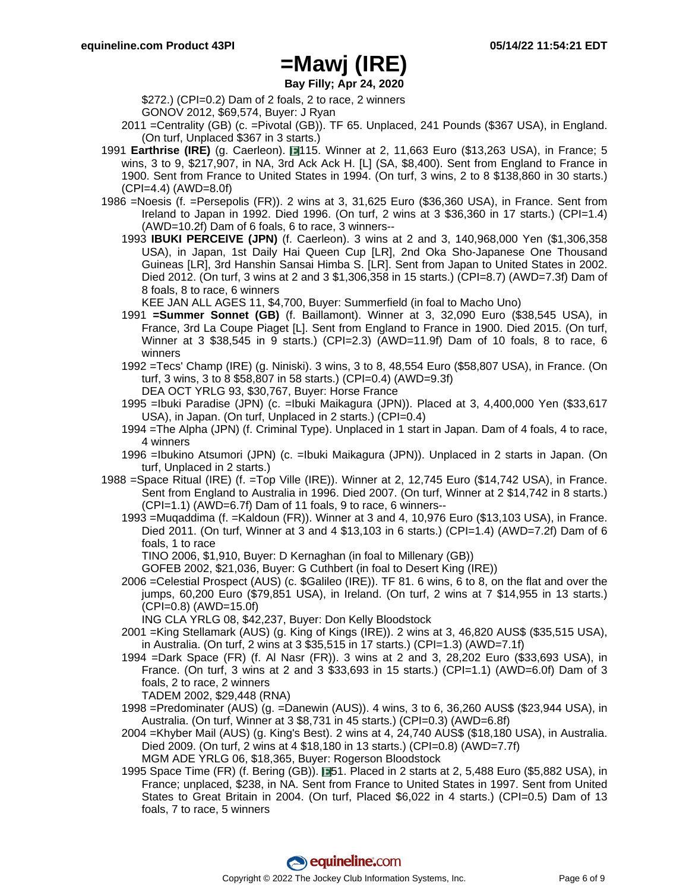**Bay Filly; Apr 24, 2020**

\$272.) (CPI=0.2) Dam of 2 foals, 2 to race, 2 winners GONOV 2012, \$69,574, Buyer: J Ryan

- 2011 =Centrality (GB) (c. =Pivotal (GB)). TF 65. Unplaced, 241 Pounds (\$367 USA), in England. (On turf, Unplaced \$367 in 3 starts.)
- 1991 **Earthrise (IRE)** (g. Caerleon). 115. Winner at 2, 11,663 Euro (\$13,263 USA), in France; 5 wins, 3 to 9, \$217,907, in NA, 3rd Ack Ack H. [L] (SA, \$8,400). Sent from England to France in 1900. Sent from France to United States in 1994. (On turf, 3 wins, 2 to 8 \$138,860 in 30 starts.) (CPI=4.4) (AWD=8.0f)
- 1986 =Noesis (f. =Persepolis (FR)). 2 wins at 3, 31,625 Euro (\$36,360 USA), in France. Sent from Ireland to Japan in 1992. Died 1996. (On turf, 2 wins at 3 \$36,360 in 17 starts.) (CPI=1.4) (AWD=10.2f) Dam of 6 foals, 6 to race, 3 winners--
	- 1993 **IBUKI PERCEIVE (JPN)** (f. Caerleon). 3 wins at 2 and 3, 140,968,000 Yen (\$1,306,358 USA), in Japan, 1st Daily Hai Queen Cup [LR], 2nd Oka Sho-Japanese One Thousand Guineas [LR], 3rd Hanshin Sansai Himba S. [LR]. Sent from Japan to United States in 2002. Died 2012. (On turf, 3 wins at 2 and 3 \$1,306,358 in 15 starts.) (CPI=8.7) (AWD=7.3f) Dam of 8 foals, 8 to race, 6 winners

KEE JAN ALL AGES 11, \$4,700, Buyer: Summerfield (in foal to Macho Uno)

- 1991 **=Summer Sonnet (GB)** (f. Baillamont). Winner at 3, 32,090 Euro (\$38,545 USA), in France, 3rd La Coupe Piaget [L]. Sent from England to France in 1900. Died 2015. (On turf, Winner at 3 \$38,545 in 9 starts.) (CPI=2.3) (AWD=11.9f) Dam of 10 foals, 8 to race, 6 winners
- 1992 =Tecs' Champ (IRE) (g. Niniski). 3 wins, 3 to 8, 48,554 Euro (\$58,807 USA), in France. (On turf, 3 wins, 3 to 8 \$58,807 in 58 starts.) (CPI=0.4) (AWD=9.3f)
	- DEA OCT YRLG 93, \$30,767, Buyer: Horse France
- 1995 =Ibuki Paradise (JPN) (c. =Ibuki Maikagura (JPN)). Placed at 3, 4,400,000 Yen (\$33,617 USA), in Japan. (On turf, Unplaced in 2 starts.) (CPI=0.4)
- 1994 =The Alpha (JPN) (f. Criminal Type). Unplaced in 1 start in Japan. Dam of 4 foals, 4 to race, 4 winners
- 1996 =Ibukino Atsumori (JPN) (c. =Ibuki Maikagura (JPN)). Unplaced in 2 starts in Japan. (On turf, Unplaced in 2 starts.)
- 1988 =Space Ritual (IRE) (f. =Top Ville (IRE)). Winner at 2, 12,745 Euro (\$14,742 USA), in France. Sent from England to Australia in 1996. Died 2007. (On turf, Winner at 2 \$14,742 in 8 starts.) (CPI=1.1) (AWD=6.7f) Dam of 11 foals, 9 to race, 6 winners--
	- 1993 =Muqaddima (f. =Kaldoun (FR)). Winner at 3 and 4, 10,976 Euro (\$13,103 USA), in France. Died 2011. (On turf, Winner at 3 and 4 \$13,103 in 6 starts.) (CPI=1.4) (AWD=7.2f) Dam of 6 foals, 1 to race

TINO 2006, \$1,910, Buyer: D Kernaghan (in foal to Millenary (GB))

- GOFEB 2002, \$21,036, Buyer: G Cuthbert (in foal to Desert King (IRE))
- 2006 =Celestial Prospect (AUS) (c. \$Galileo (IRE)). TF 81. 6 wins, 6 to 8, on the flat and over the jumps, 60,200 Euro (\$79,851 USA), in Ireland. (On turf, 2 wins at 7 \$14,955 in 13 starts.) (CPI=0.8) (AWD=15.0f)

ING CLA YRLG 08, \$42,237, Buyer: Don Kelly Bloodstock

- 2001 =King Stellamark (AUS) (g. King of Kings (IRE)). 2 wins at 3, 46,820 AUS\$ (\$35,515 USA), in Australia. (On turf, 2 wins at 3 \$35,515 in 17 starts.) (CPI=1.3) (AWD=7.1f)
- 1994 =Dark Space (FR) (f. Al Nasr (FR)). 3 wins at 2 and 3, 28,202 Euro (\$33,693 USA), in France. (On turf, 3 wins at 2 and 3  $$33,693$  in 15 starts.) (CPI=1.1) (AWD=6.0f) Dam of 3 foals, 2 to race, 2 winners

TADEM 2002, \$29,448 (RNA)

- 1998 =Predominater (AUS) (g. =Danewin (AUS)). 4 wins, 3 to 6, 36,260 AUS\$ (\$23,944 USA), in Australia. (On turf, Winner at 3 \$8,731 in 45 starts.) (CPI=0.3) (AWD=6.8f)
- 2004 =Khyber Mail (AUS) (g. King's Best). 2 wins at 4, 24,740 AUS\$ (\$18,180 USA), in Australia. Died 2009. (On turf, 2 wins at 4 \$18,180 in 13 starts.) (CPI=0.8) (AWD=7.7f) MGM ADE YRLG 06, \$18,365, Buyer: Rogerson Bloodstock
- 1995 Space Time (FR) (f. Bering (GB)). **[151.** Placed in 2 starts at 2, 5,488 Euro (\$5,882 USA), in France; unplaced, \$238, in NA. Sent from France to United States in 1997. Sent from United States to Great Britain in 2004. (On turf, Placed \$6,022 in 4 starts.) (CPI=0.5) Dam of 13 foals, 7 to race, 5 winners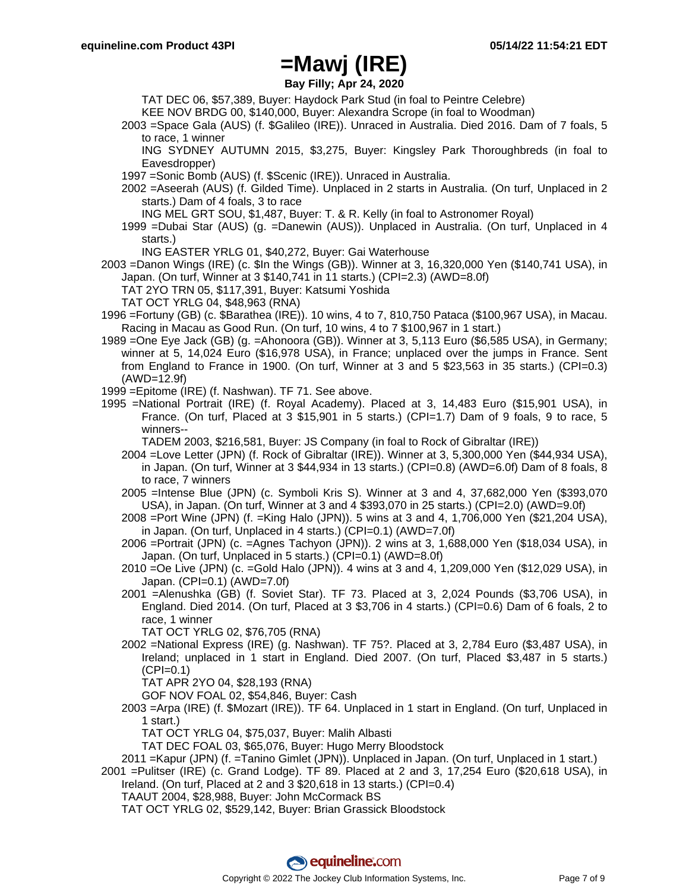**Bay Filly; Apr 24, 2020**

TAT DEC 06, \$57,389, Buyer: Haydock Park Stud (in foal to Peintre Celebre)

KEE NOV BRDG 00, \$140,000, Buyer: Alexandra Scrope (in foal to Woodman)

2003 =Space Gala (AUS) (f. \$Galileo (IRE)). Unraced in Australia. Died 2016. Dam of 7 foals, 5 to race, 1 winner

ING SYDNEY AUTUMN 2015, \$3,275, Buyer: Kingsley Park Thoroughbreds (in foal to Eavesdropper)

- 1997 =Sonic Bomb (AUS) (f. \$Scenic (IRE)). Unraced in Australia.
- 2002 =Aseerah (AUS) (f. Gilded Time). Unplaced in 2 starts in Australia. (On turf, Unplaced in 2 starts.) Dam of 4 foals, 3 to race

ING MEL GRT SOU, \$1,487, Buyer: T. & R. Kelly (in foal to Astronomer Royal)

- 1999 =Dubai Star (AUS) (g. =Danewin (AUS)). Unplaced in Australia. (On turf, Unplaced in 4 starts.)
	- ING EASTER YRLG 01, \$40,272, Buyer: Gai Waterhouse
- 2003 =Danon Wings (IRE) (c. \$In the Wings (GB)). Winner at 3, 16,320,000 Yen (\$140,741 USA), in Japan. (On turf, Winner at 3 \$140,741 in 11 starts.) (CPI=2.3) (AWD=8.0f)
	- TAT 2YO TRN 05, \$117,391, Buyer: Katsumi Yoshida

TAT OCT YRLG 04, \$48,963 (RNA)

- 1996 =Fortuny (GB) (c. \$Barathea (IRE)). 10 wins, 4 to 7, 810,750 Pataca (\$100,967 USA), in Macau. Racing in Macau as Good Run. (On turf, 10 wins, 4 to 7 \$100,967 in 1 start.)
- 1989 =One Eye Jack (GB) (g. =Ahonoora (GB)). Winner at 3, 5,113 Euro (\$6,585 USA), in Germany; winner at 5, 14,024 Euro (\$16,978 USA), in France; unplaced over the jumps in France. Sent from England to France in 1900. (On turf, Winner at 3 and 5 \$23,563 in 35 starts.) (CPI=0.3) (AWD=12.9f)
- 1999 =Epitome (IRE) (f. Nashwan). TF 71. See above.
- 1995 =National Portrait (IRE) (f. Royal Academy). Placed at 3, 14,483 Euro (\$15,901 USA), in France. (On turf, Placed at 3 \$15,901 in 5 starts.) (CPI=1.7) Dam of 9 foals, 9 to race, 5 winners--

TADEM 2003, \$216,581, Buyer: JS Company (in foal to Rock of Gibraltar (IRE))

- 2004 =Love Letter (JPN) (f. Rock of Gibraltar (IRE)). Winner at 3, 5,300,000 Yen (\$44,934 USA), in Japan. (On turf, Winner at 3  $$44,934$  in 13 starts.) (CPI=0.8) (AWD=6.0f) Dam of 8 foals, 8 to race, 7 winners
- 2005 =Intense Blue (JPN) (c. Symboli Kris S). Winner at 3 and 4, 37,682,000 Yen (\$393,070 USA), in Japan. (On turf, Winner at 3 and 4 \$393,070 in 25 starts.) (CPI=2.0) (AWD=9.0f)
- 2008 =Port Wine (JPN) (f. =King Halo (JPN)). 5 wins at 3 and 4, 1,706,000 Yen (\$21,204 USA), in Japan. (On turf, Unplaced in 4 starts.) (CPI=0.1) (AWD=7.0f)
- 2006 =Portrait (JPN) (c. =Agnes Tachyon (JPN)). 2 wins at 3, 1,688,000 Yen (\$18,034 USA), in Japan. (On turf, Unplaced in 5 starts.) (CPI=0.1) (AWD=8.0f)
- 2010 =Oe Live (JPN) (c. =Gold Halo (JPN)). 4 wins at 3 and 4, 1,209,000 Yen (\$12,029 USA), in Japan. (CPI=0.1) (AWD=7.0f)
- 2001 =Alenushka (GB) (f. Soviet Star). TF 73. Placed at 3, 2,024 Pounds (\$3,706 USA), in England. Died 2014. (On turf, Placed at 3 \$3,706 in 4 starts.) (CPI=0.6) Dam of 6 foals, 2 to race, 1 winner

TAT OCT YRLG 02, \$76,705 (RNA)

2002 =National Express (IRE) (g. Nashwan). TF 75?. Placed at 3, 2,784 Euro (\$3,487 USA), in Ireland; unplaced in 1 start in England. Died 2007. (On turf, Placed \$3,487 in 5 starts.)  $(CPI=0.1)$ 

TAT APR 2YO 04, \$28,193 (RNA)

GOF NOV FOAL 02, \$54,846, Buyer: Cash

2003 =Arpa (IRE) (f. \$Mozart (IRE)). TF 64. Unplaced in 1 start in England. (On turf, Unplaced in 1 start.)

TAT OCT YRLG 04, \$75,037, Buyer: Malih Albasti

TAT DEC FOAL 03, \$65,076, Buyer: Hugo Merry Bloodstock

2011 =Kapur (JPN) (f. =Tanino Gimlet (JPN)). Unplaced in Japan. (On turf, Unplaced in 1 start.)

2001 =Pulitser (IRE) (c. Grand Lodge). TF 89. Placed at 2 and 3, 17,254 Euro (\$20,618 USA), in Ireland. (On turf, Placed at 2 and 3 \$20,618 in 13 starts.) (CPI=0.4)

TAAUT 2004, \$28,988, Buyer: John McCormack BS

TAT OCT YRLG 02, \$529,142, Buyer: Brian Grassick Bloodstock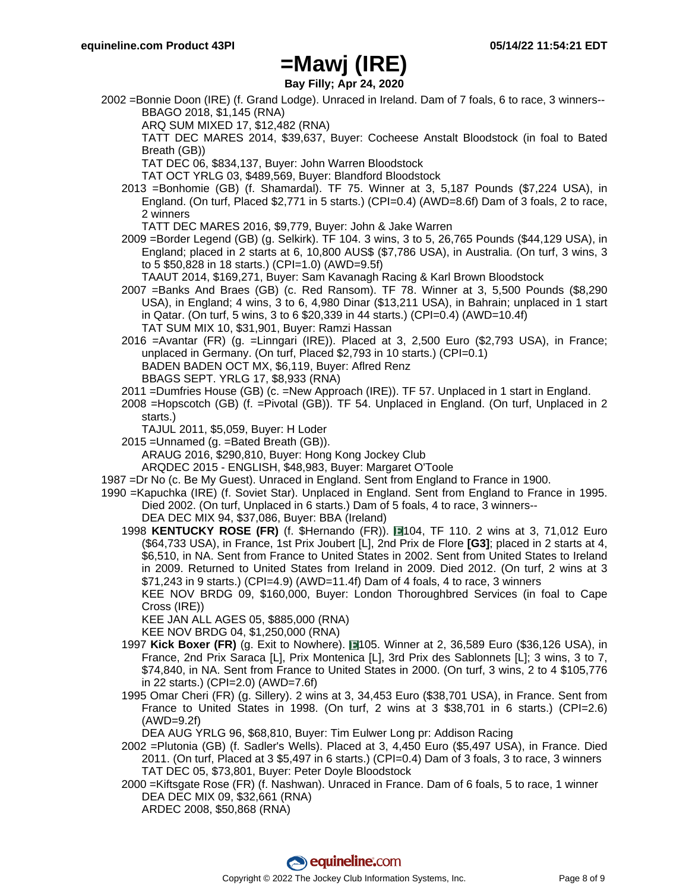**Bay Filly; Apr 24, 2020**

- 2002 =Bonnie Doon (IRE) (f. Grand Lodge). Unraced in Ireland. Dam of 7 foals, 6 to race, 3 winners-- BBAGO 2018, \$1,145 (RNA)
	- ARQ SUM MIXED 17, \$12,482 (RNA)

TATT DEC MARES 2014, \$39,637, Buyer: Cocheese Anstalt Bloodstock (in foal to Bated Breath (GB))

TAT DEC 06, \$834,137, Buyer: John Warren Bloodstock

TAT OCT YRLG 03, \$489,569, Buyer: Blandford Bloodstock

2013 =Bonhomie (GB) (f. Shamardal). TF 75. Winner at 3, 5,187 Pounds (\$7,224 USA), in England. (On turf, Placed \$2,771 in 5 starts.) (CPI=0.4) (AWD=8.6f) Dam of 3 foals, 2 to race, 2 winners

TATT DEC MARES 2016, \$9,779, Buyer: John & Jake Warren

2009 =Border Legend (GB) (g. Selkirk). TF 104. 3 wins, 3 to 5, 26,765 Pounds (\$44,129 USA), in England; placed in 2 starts at 6, 10,800 AUS\$ (\$7,786 USA), in Australia. (On turf, 3 wins, 3 to 5 \$50,828 in 18 starts.) (CPI=1.0) (AWD=9.5f)

TAAUT 2014, \$169,271, Buyer: Sam Kavanagh Racing & Karl Brown Bloodstock

2007 =Banks And Braes (GB) (c. Red Ransom). TF 78. Winner at 3, 5,500 Pounds (\$8,290 USA), in England; 4 wins, 3 to 6, 4,980 Dinar (\$13,211 USA), in Bahrain; unplaced in 1 start in Qatar. (On turf, 5 wins, 3 to 6 \$20,339 in 44 starts.) (CPI=0.4) (AWD=10.4f) TAT SUM MIX 10, \$31,901, Buyer: Ramzi Hassan

2016 =Avantar (FR) (g. =Linngari (IRE)). Placed at 3, 2,500 Euro (\$2,793 USA), in France; unplaced in Germany. (On turf, Placed \$2,793 in 10 starts.) (CPI=0.1) BADEN BADEN OCT MX, \$6,119, Buyer: Aflred Renz BBAGS SEPT. YRLG 17, \$8,933 (RNA)

- 2011 =Dumfries House (GB) (c. =New Approach (IRE)). TF 57. Unplaced in 1 start in England.
- 2008 =Hopscotch (GB) (f. =Pivotal (GB)). TF 54. Unplaced in England. (On turf, Unplaced in 2 starts.)

TAJUL 2011, \$5,059, Buyer: H Loder

2015 =Unnamed (g. =Bated Breath (GB)).

ARAUG 2016, \$290,810, Buyer: Hong Kong Jockey Club

ARQDEC 2015 - ENGLISH, \$48,983, Buyer: Margaret O'Toole

- 1987 =Dr No (c. Be My Guest). Unraced in England. Sent from England to France in 1900.
- 1990 =Kapuchka (IRE) (f. Soviet Star). Unplaced in England. Sent from England to France in 1995. Died 2002. (On turf, Unplaced in 6 starts.) Dam of 5 foals, 4 to race, 3 winners--

DEA DEC MIX 94, \$37,086, Buyer: BBA (Ireland)

1998 KENTUCKY ROSE (FR) (f. \$Hernando (FR)). **104, TF 110. 2 wins at 3, 71,012 Euro** (\$64,733 USA), in France, 1st Prix Joubert [L], 2nd Prix de Flore **[G3]**; placed in 2 starts at 4, \$6,510, in NA. Sent from France to United States in 2002. Sent from United States to Ireland in 2009. Returned to United States from Ireland in 2009. Died 2012. (On turf, 2 wins at 3 \$71,243 in 9 starts.) (CPI=4.9) (AWD=11.4f) Dam of 4 foals, 4 to race, 3 winners

KEE NOV BRDG 09, \$160,000, Buyer: London Thoroughbred Services (in foal to Cape Cross (IRE))

KEE JAN ALL AGES 05, \$885,000 (RNA)

KEE NOV BRDG 04, \$1,250,000 (RNA)

- 1997 **Kick Boxer (FR)** (g. Exit to Nowhere). 105. Winner at 2, 36,589 Euro (\$36,126 USA), in France, 2nd Prix Saraca [L], Prix Montenica [L], 3rd Prix des Sablonnets [L]; 3 wins, 3 to 7, \$74,840, in NA. Sent from France to United States in 2000. (On turf, 3 wins, 2 to 4 \$105,776 in 22 starts.) (CPI=2.0) (AWD=7.6f)
- 1995 Omar Cheri (FR) (g. Sillery). 2 wins at 3, 34,453 Euro (\$38,701 USA), in France. Sent from France to United States in 1998. (On turf, 2 wins at  $3\$  \$38,701 in 6 starts.) (CPI=2.6) (AWD=9.2f)

DEA AUG YRLG 96, \$68,810, Buyer: Tim Eulwer Long pr: Addison Racing

- 2002 =Plutonia (GB) (f. Sadler's Wells). Placed at 3, 4,450 Euro (\$5,497 USA), in France. Died 2011. (On turf, Placed at 3 \$5,497 in 6 starts.) (CPI=0.4) Dam of 3 foals, 3 to race, 3 winners TAT DEC 05, \$73,801, Buyer: Peter Doyle Bloodstock
- 2000 =Kiftsgate Rose (FR) (f. Nashwan). Unraced in France. Dam of 6 foals, 5 to race, 1 winner DEA DEC MIX 09, \$32,661 (RNA)

ARDEC 2008, \$50,868 (RNA)